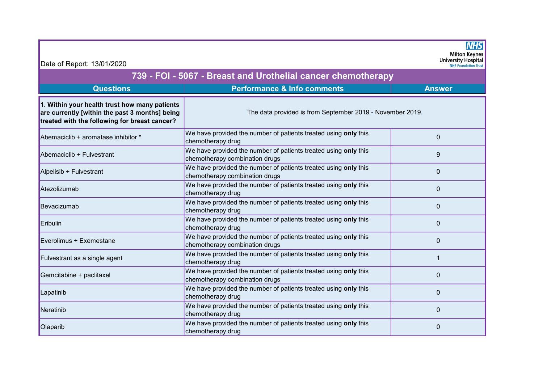| Date of Report: 13/01/2020                                                                                                                       |                                                                                                   | <b>NHS</b><br><b>Milton Keynes</b><br><b>University Hospital</b><br><b>NHS Foundation Trust</b> |  |  |
|--------------------------------------------------------------------------------------------------------------------------------------------------|---------------------------------------------------------------------------------------------------|-------------------------------------------------------------------------------------------------|--|--|
| 739 - FOI - 5067 - Breast and Urothelial cancer chemotherapy                                                                                     |                                                                                                   |                                                                                                 |  |  |
| <b>Questions</b>                                                                                                                                 | <b>Performance &amp; Info comments</b>                                                            | <b>Answer</b>                                                                                   |  |  |
| 1. Within your health trust how many patients<br>are currently [within the past 3 months] being<br>treated with the following for breast cancer? | The data provided is from September 2019 - November 2019.                                         |                                                                                                 |  |  |
| Abemaciclib + aromatase inhibitor *                                                                                                              | We have provided the number of patients treated using only this<br>chemotherapy drug              | $\mathbf 0$                                                                                     |  |  |
| Abemaciclib + Fulvestrant                                                                                                                        | We have provided the number of patients treated using only this<br>chemotherapy combination drugs | 9                                                                                               |  |  |
| Alpelisib + Fulvestrant                                                                                                                          | We have provided the number of patients treated using only this<br>chemotherapy combination drugs | $\mathbf 0$                                                                                     |  |  |
| Atezolizumab                                                                                                                                     | We have provided the number of patients treated using only this<br>chemotherapy drug              | $\mathbf 0$                                                                                     |  |  |
| Bevacizumab                                                                                                                                      | We have provided the number of patients treated using only this<br>chemotherapy drug              | $\mathbf 0$                                                                                     |  |  |
| Eribulin                                                                                                                                         | We have provided the number of patients treated using only this<br>chemotherapy drug              | $\mathbf 0$                                                                                     |  |  |
| Everolimus + Exemestane                                                                                                                          | We have provided the number of patients treated using only this<br>chemotherapy combination drugs | $\Omega$                                                                                        |  |  |
| Fulvestrant as a single agent                                                                                                                    | We have provided the number of patients treated using only this<br>chemotherapy drug              |                                                                                                 |  |  |
| Gemcitabine + paclitaxel                                                                                                                         | We have provided the number of patients treated using only this<br>chemotherapy combination drugs | $\mathbf 0$                                                                                     |  |  |
| Lapatinib                                                                                                                                        | We have provided the number of patients treated using only this<br>chemotherapy drug              | $\Omega$                                                                                        |  |  |
| Neratinib                                                                                                                                        | We have provided the number of patients treated using only this<br>chemotherapy drug              | $\mathbf 0$                                                                                     |  |  |
| Olaparib                                                                                                                                         | We have provided the number of patients treated using only this<br>chemotherapy drug              | 0                                                                                               |  |  |

Г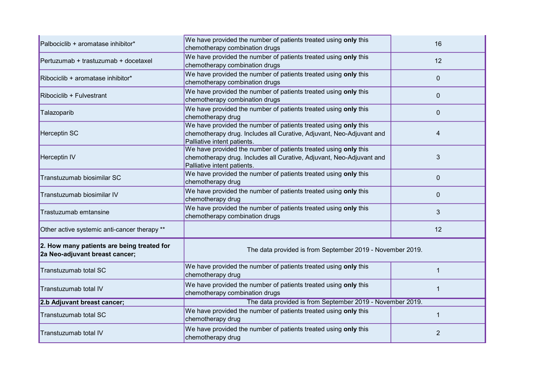| Palbociclib + aromatase inhibitor*                                           | We have provided the number of patients treated using only this<br>chemotherapy combination drugs                                                                      | 16           |  |
|------------------------------------------------------------------------------|------------------------------------------------------------------------------------------------------------------------------------------------------------------------|--------------|--|
| Pertuzumab + trastuzumab + docetaxel                                         | We have provided the number of patients treated using only this<br>chemotherapy combination drugs                                                                      | 12           |  |
| Ribociclib + aromatase inhibitor*                                            | We have provided the number of patients treated using only this<br>chemotherapy combination drugs                                                                      | $\mathbf{0}$ |  |
| Ribociclib + Fulvestrant                                                     | We have provided the number of patients treated using only this<br>chemotherapy combination drugs                                                                      | $\mathbf{0}$ |  |
| Talazoparib                                                                  | We have provided the number of patients treated using only this<br>chemotherapy drug                                                                                   | $\mathbf{0}$ |  |
| <b>Herceptin SC</b>                                                          | We have provided the number of patients treated using only this<br>chemotherapy drug. Includes all Curative, Adjuvant, Neo-Adjuvant and<br>Palliative intent patients. | 4            |  |
| Herceptin <sub>IV</sub>                                                      | We have provided the number of patients treated using only this<br>chemotherapy drug. Includes all Curative, Adjuvant, Neo-Adjuvant and<br>Palliative intent patients. | 3            |  |
| Transtuzumab biosimilar SC                                                   | We have provided the number of patients treated using only this<br>chemotherapy drug                                                                                   | $\mathbf{0}$ |  |
| Transtuzumab biosimilar IV                                                   | We have provided the number of patients treated using only this<br>chemotherapy drug                                                                                   | $\Omega$     |  |
| Trastuzumab emtansine                                                        | We have provided the number of patients treated using only this<br>chemotherapy combination drugs                                                                      | 3            |  |
| Other active systemic anti-cancer therapy **                                 |                                                                                                                                                                        | 12           |  |
| 2. How many patients are being treated for<br>2a Neo-adjuvant breast cancer; | The data provided is from September 2019 - November 2019.                                                                                                              |              |  |
| Transtuzumab total SC                                                        | We have provided the number of patients treated using only this<br>chemotherapy drug                                                                                   |              |  |
| Transtuzumab total IV                                                        | We have provided the number of patients treated using only this<br>chemotherapy combination drugs                                                                      | 1            |  |
| 2.b Adjuvant breast cancer;                                                  | The data provided is from September 2019 - November 2019.                                                                                                              |              |  |
| Transtuzumab total SC                                                        | We have provided the number of patients treated using only this<br>chemotherapy drug                                                                                   | 1            |  |
| Transtuzumab total IV                                                        | We have provided the number of patients treated using only this<br>chemotherapy drug                                                                                   | 2            |  |